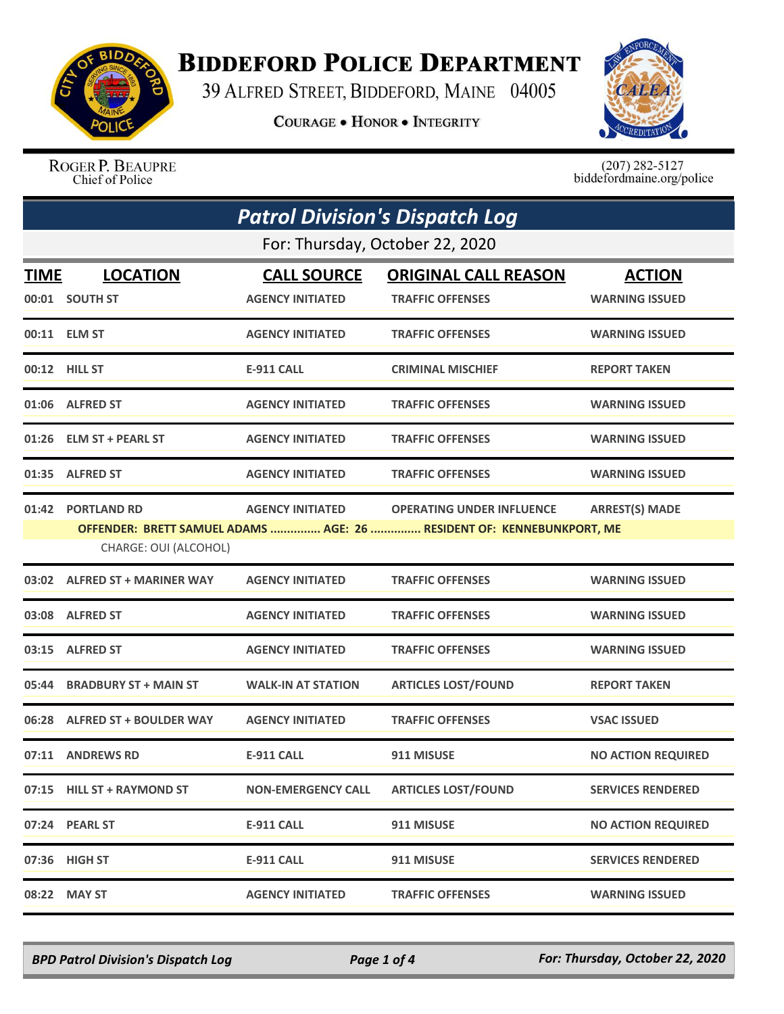

## **BIDDEFORD POLICE DEPARTMENT**

39 ALFRED STREET, BIDDEFORD, MAINE 04005

**COURAGE . HONOR . INTEGRITY** 



ROGER P. BEAUPRE Chief of Police

 $(207)$  282-5127 biddefordmaine.org/police

| <b>Patrol Division's Dispatch Log</b> |                                             |                           |                                                                                                           |                           |  |
|---------------------------------------|---------------------------------------------|---------------------------|-----------------------------------------------------------------------------------------------------------|---------------------------|--|
|                                       | For: Thursday, October 22, 2020             |                           |                                                                                                           |                           |  |
| TIME                                  | <b>LOCATION</b>                             | <b>CALL SOURCE</b>        | <b>ORIGINAL CALL REASON</b>                                                                               | <b>ACTION</b>             |  |
|                                       | 00:01 SOUTH ST                              | <b>AGENCY INITIATED</b>   | <b>TRAFFIC OFFENSES</b>                                                                                   | <b>WARNING ISSUED</b>     |  |
|                                       | 00:11 ELM ST                                | <b>AGENCY INITIATED</b>   | <b>TRAFFIC OFFENSES</b>                                                                                   | <b>WARNING ISSUED</b>     |  |
|                                       | 00:12 HILL ST                               | <b>E-911 CALL</b>         | <b>CRIMINAL MISCHIEF</b>                                                                                  | <b>REPORT TAKEN</b>       |  |
|                                       | 01:06 ALFRED ST                             | <b>AGENCY INITIATED</b>   | <b>TRAFFIC OFFENSES</b>                                                                                   | <b>WARNING ISSUED</b>     |  |
|                                       | 01:26 ELM ST + PEARL ST                     | <b>AGENCY INITIATED</b>   | <b>TRAFFIC OFFENSES</b>                                                                                   | <b>WARNING ISSUED</b>     |  |
|                                       | 01:35 ALFRED ST                             | <b>AGENCY INITIATED</b>   | <b>TRAFFIC OFFENSES</b>                                                                                   | <b>WARNING ISSUED</b>     |  |
| 01:42                                 | <b>PORTLAND RD</b><br>CHARGE: OUI (ALCOHOL) | <b>AGENCY INITIATED</b>   | <b>OPERATING UNDER INFLUENCE</b><br>OFFENDER: BRETT SAMUEL ADAMS  AGE: 26  RESIDENT OF: KENNEBUNKPORT, ME | <b>ARREST(S) MADE</b>     |  |
|                                       | 03:02 ALFRED ST + MARINER WAY               | <b>AGENCY INITIATED</b>   | <b>TRAFFIC OFFENSES</b>                                                                                   | <b>WARNING ISSUED</b>     |  |
|                                       | 03:08 ALFRED ST                             | <b>AGENCY INITIATED</b>   | <b>TRAFFIC OFFENSES</b>                                                                                   | <b>WARNING ISSUED</b>     |  |
|                                       | 03:15 ALFRED ST                             | <b>AGENCY INITIATED</b>   | <b>TRAFFIC OFFENSES</b>                                                                                   | <b>WARNING ISSUED</b>     |  |
| 05:44                                 | <b>BRADBURY ST + MAIN ST</b>                | <b>WALK-IN AT STATION</b> | <b>ARTICLES LOST/FOUND</b>                                                                                | <b>REPORT TAKEN</b>       |  |
|                                       | 06:28 ALFRED ST + BOULDER WAY               | <b>AGENCY INITIATED</b>   | <b>TRAFFIC OFFENSES</b>                                                                                   | <b>VSAC ISSUED</b>        |  |
| 07:11                                 | <b>ANDREWS RD</b>                           | <b>E-911 CALL</b>         | 911 MISUSE                                                                                                | <b>NO ACTION REQUIRED</b> |  |
|                                       | 07:15 HILL ST + RAYMOND ST                  | <b>NON-EMERGENCY CALL</b> | <b>ARTICLES LOST/FOUND</b>                                                                                | <b>SERVICES RENDERED</b>  |  |
|                                       | 07:24 PEARL ST                              | <b>E-911 CALL</b>         | 911 MISUSE                                                                                                | <b>NO ACTION REQUIRED</b> |  |
|                                       | 07:36 HIGH ST                               | <b>E-911 CALL</b>         | 911 MISUSE                                                                                                | <b>SERVICES RENDERED</b>  |  |
| 08:22                                 | <b>MAY ST</b>                               | <b>AGENCY INITIATED</b>   | <b>TRAFFIC OFFENSES</b>                                                                                   | <b>WARNING ISSUED</b>     |  |

*BPD Patrol Division's Dispatch Log Page 1 of 4 For: Thursday, October 22, 2020*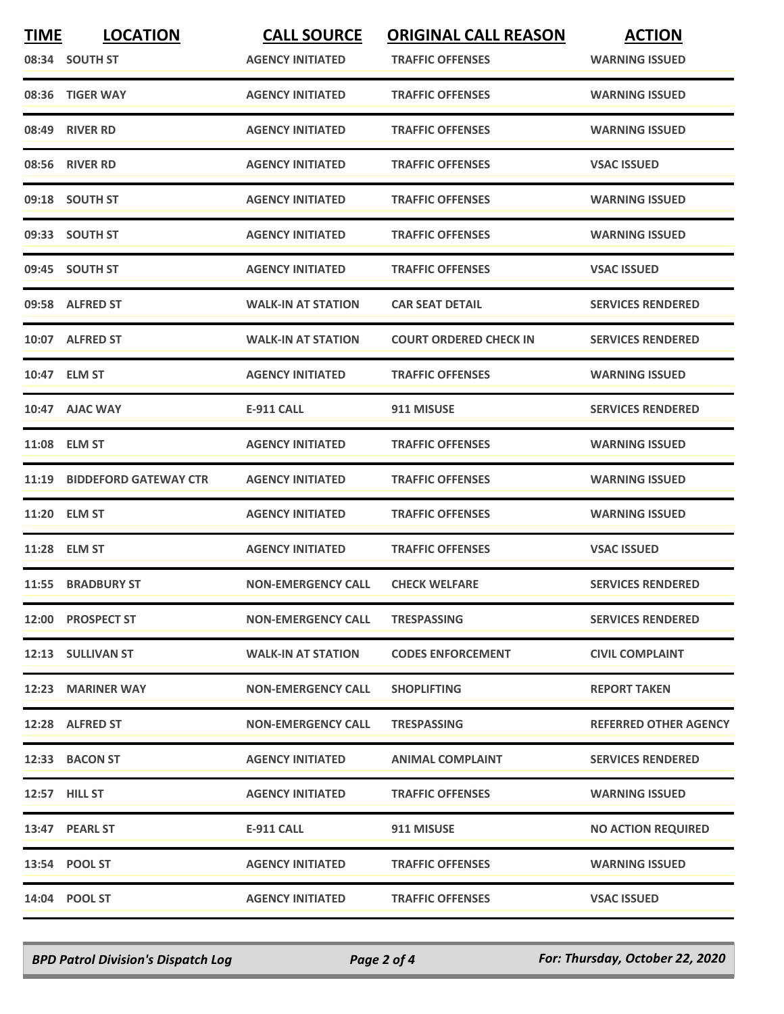| <b>TIME</b> | <b>LOCATION</b>             | <b>CALL SOURCE</b>        | <b>ORIGINAL CALL REASON</b>   | <b>ACTION</b>                |
|-------------|-----------------------------|---------------------------|-------------------------------|------------------------------|
|             | 08:34 SOUTH ST              | <b>AGENCY INITIATED</b>   | <b>TRAFFIC OFFENSES</b>       | <b>WARNING ISSUED</b>        |
|             | 08:36 TIGER WAY             | <b>AGENCY INITIATED</b>   | <b>TRAFFIC OFFENSES</b>       | <b>WARNING ISSUED</b>        |
|             | 08:49 RIVER RD              | <b>AGENCY INITIATED</b>   | <b>TRAFFIC OFFENSES</b>       | <b>WARNING ISSUED</b>        |
|             | 08:56 RIVER RD              | <b>AGENCY INITIATED</b>   | <b>TRAFFIC OFFENSES</b>       | <b>VSAC ISSUED</b>           |
|             | 09:18 SOUTH ST              | <b>AGENCY INITIATED</b>   | <b>TRAFFIC OFFENSES</b>       | <b>WARNING ISSUED</b>        |
|             | 09:33 SOUTH ST              | <b>AGENCY INITIATED</b>   | <b>TRAFFIC OFFENSES</b>       | <b>WARNING ISSUED</b>        |
|             | 09:45 SOUTH ST              | <b>AGENCY INITIATED</b>   | <b>TRAFFIC OFFENSES</b>       | <b>VSAC ISSUED</b>           |
|             | 09:58 ALFRED ST             | <b>WALK-IN AT STATION</b> | <b>CAR SEAT DETAIL</b>        | <b>SERVICES RENDERED</b>     |
|             | 10:07 ALFRED ST             | <b>WALK-IN AT STATION</b> | <b>COURT ORDERED CHECK IN</b> | <b>SERVICES RENDERED</b>     |
|             | 10:47 ELM ST                | <b>AGENCY INITIATED</b>   | <b>TRAFFIC OFFENSES</b>       | <b>WARNING ISSUED</b>        |
|             | 10:47 AJAC WAY              | E-911 CALL                | 911 MISUSE                    | <b>SERVICES RENDERED</b>     |
|             | 11:08 ELM ST                | <b>AGENCY INITIATED</b>   | <b>TRAFFIC OFFENSES</b>       | <b>WARNING ISSUED</b>        |
|             | 11:19 BIDDEFORD GATEWAY CTR | <b>AGENCY INITIATED</b>   | <b>TRAFFIC OFFENSES</b>       | <b>WARNING ISSUED</b>        |
|             | 11:20 ELM ST                | <b>AGENCY INITIATED</b>   | <b>TRAFFIC OFFENSES</b>       | <b>WARNING ISSUED</b>        |
|             | 11:28 ELM ST                | <b>AGENCY INITIATED</b>   | <b>TRAFFIC OFFENSES</b>       | <b>VSAC ISSUED</b>           |
|             | 11:55 BRADBURY ST           | <b>NON-EMERGENCY CALL</b> | <b>CHECK WELFARE</b>          | <b>SERVICES RENDERED</b>     |
|             | 12:00 PROSPECT ST           | <b>NON-EMERGENCY CALL</b> | <b>TRESPASSING</b>            | <b>SERVICES RENDERED</b>     |
|             | 12:13 SULLIVAN ST           | <b>WALK-IN AT STATION</b> | <b>CODES ENFORCEMENT</b>      | <b>CIVIL COMPLAINT</b>       |
|             | 12:23 MARINER WAY           | <b>NON-EMERGENCY CALL</b> | <b>SHOPLIFTING</b>            | <b>REPORT TAKEN</b>          |
|             | 12:28 ALFRED ST             | <b>NON-EMERGENCY CALL</b> | <b>TRESPASSING</b>            | <b>REFERRED OTHER AGENCY</b> |
|             | 12:33 BACON ST              | <b>AGENCY INITIATED</b>   | <b>ANIMAL COMPLAINT</b>       | <b>SERVICES RENDERED</b>     |
|             | 12:57 HILL ST               | <b>AGENCY INITIATED</b>   | <b>TRAFFIC OFFENSES</b>       | <b>WARNING ISSUED</b>        |
|             | 13:47 PEARL ST              | E-911 CALL                | 911 MISUSE                    | <b>NO ACTION REQUIRED</b>    |
|             | 13:54 POOL ST               | <b>AGENCY INITIATED</b>   | <b>TRAFFIC OFFENSES</b>       | <b>WARNING ISSUED</b>        |
|             | 14:04 POOL ST               | <b>AGENCY INITIATED</b>   | <b>TRAFFIC OFFENSES</b>       | <b>VSAC ISSUED</b>           |

*BPD Patrol Division's Dispatch Log Page 2 of 4 For: Thursday, October 22, 2020*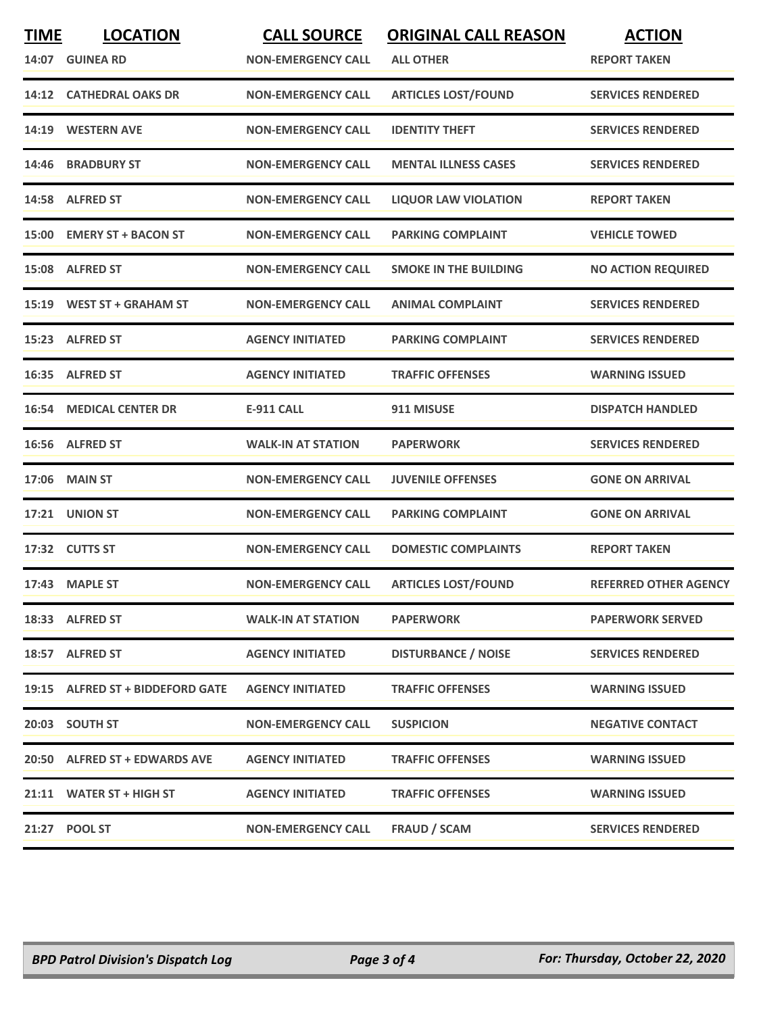| <b>TIME</b> | <b>LOCATION</b><br>14:07 GUINEA RD | <b>CALL SOURCE</b><br><b>NON-EMERGENCY CALL</b> | <b>ORIGINAL CALL REASON</b><br><b>ALL OTHER</b> | <b>ACTION</b><br><b>REPORT TAKEN</b> |
|-------------|------------------------------------|-------------------------------------------------|-------------------------------------------------|--------------------------------------|
|             | <b>14:12 CATHEDRAL OAKS DR</b>     | <b>NON-EMERGENCY CALL</b>                       | <b>ARTICLES LOST/FOUND</b>                      | <b>SERVICES RENDERED</b>             |
| 14:19       | <b>WESTERN AVE</b>                 | <b>NON-EMERGENCY CALL</b>                       | <b>IDENTITY THEFT</b>                           | <b>SERVICES RENDERED</b>             |
|             | 14:46 BRADBURY ST                  | <b>NON-EMERGENCY CALL</b>                       | <b>MENTAL ILLNESS CASES</b>                     | <b>SERVICES RENDERED</b>             |
|             | 14:58 ALFRED ST                    | <b>NON-EMERGENCY CALL</b>                       | <b>LIQUOR LAW VIOLATION</b>                     | <b>REPORT TAKEN</b>                  |
|             | 15:00 EMERY ST + BACON ST          | <b>NON-EMERGENCY CALL</b>                       | <b>PARKING COMPLAINT</b>                        | <b>VEHICLE TOWED</b>                 |
| 15:08       | <b>ALFRED ST</b>                   | <b>NON-EMERGENCY CALL</b>                       | <b>SMOKE IN THE BUILDING</b>                    | <b>NO ACTION REQUIRED</b>            |
|             | 15:19 WEST ST + GRAHAM ST          | <b>NON-EMERGENCY CALL</b>                       | <b>ANIMAL COMPLAINT</b>                         | <b>SERVICES RENDERED</b>             |
|             | 15:23 ALFRED ST                    | <b>AGENCY INITIATED</b>                         | <b>PARKING COMPLAINT</b>                        | <b>SERVICES RENDERED</b>             |
|             | 16:35 ALFRED ST                    | <b>AGENCY INITIATED</b>                         | <b>TRAFFIC OFFENSES</b>                         | <b>WARNING ISSUED</b>                |
|             | <b>16:54 MEDICAL CENTER DR</b>     | <b>E-911 CALL</b>                               | 911 MISUSE                                      | <b>DISPATCH HANDLED</b>              |
|             | 16:56 ALFRED ST                    | <b>WALK-IN AT STATION</b>                       | <b>PAPERWORK</b>                                | <b>SERVICES RENDERED</b>             |
| 17:06       | <b>MAIN ST</b>                     | <b>NON-EMERGENCY CALL</b>                       | <b>JUVENILE OFFENSES</b>                        | <b>GONE ON ARRIVAL</b>               |
| 17:21       | <b>UNION ST</b>                    | <b>NON-EMERGENCY CALL</b>                       | <b>PARKING COMPLAINT</b>                        | <b>GONE ON ARRIVAL</b>               |
|             | 17:32 CUTTS ST                     | <b>NON-EMERGENCY CALL</b>                       | <b>DOMESTIC COMPLAINTS</b>                      | <b>REPORT TAKEN</b>                  |
|             | 17:43 MAPLE ST                     | <b>NON-EMERGENCY CALL</b>                       | <b>ARTICLES LOST/FOUND</b>                      | <b>REFERRED OTHER AGENCY</b>         |
|             | 18:33 ALFRED ST                    | <b>WALK-IN AT STATION</b>                       | <b>PAPERWORK</b>                                | <b>PAPERWORK SERVED</b>              |
|             | 18:57 ALFRED ST                    | <b>AGENCY INITIATED</b>                         | <b>DISTURBANCE / NOISE</b>                      | <b>SERVICES RENDERED</b>             |
|             | 19:15 ALFRED ST + BIDDEFORD GATE   | <b>AGENCY INITIATED</b>                         | <b>TRAFFIC OFFENSES</b>                         | <b>WARNING ISSUED</b>                |
|             | 20:03 SOUTH ST                     | <b>NON-EMERGENCY CALL</b>                       | <b>SUSPICION</b>                                | <b>NEGATIVE CONTACT</b>              |
|             | 20:50 ALFRED ST + EDWARDS AVE      | <b>AGENCY INITIATED</b>                         | <b>TRAFFIC OFFENSES</b>                         | <b>WARNING ISSUED</b>                |
|             | 21:11 WATER ST + HIGH ST           | <b>AGENCY INITIATED</b>                         | <b>TRAFFIC OFFENSES</b>                         | <b>WARNING ISSUED</b>                |
|             | 21:27 POOL ST                      | <b>NON-EMERGENCY CALL</b>                       | <b>FRAUD / SCAM</b>                             | <b>SERVICES RENDERED</b>             |